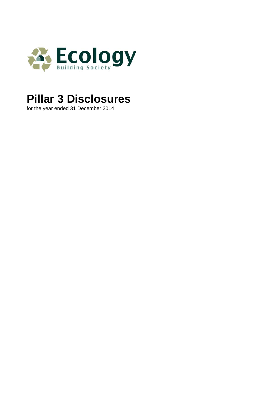

# **Pillar 3 Disclosures**

for the year ended 31 December 2014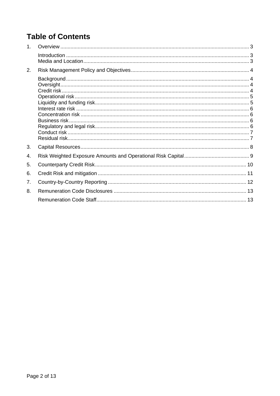## **Table of Contents**

| 1 <sub>1</sub> |  |
|----------------|--|
|                |  |
| 2.             |  |
|                |  |
|                |  |
|                |  |
|                |  |
|                |  |
|                |  |
|                |  |
|                |  |
| 3.             |  |
| 4.             |  |
| 5.             |  |
| 6.             |  |
| 7.             |  |
| 8.             |  |
|                |  |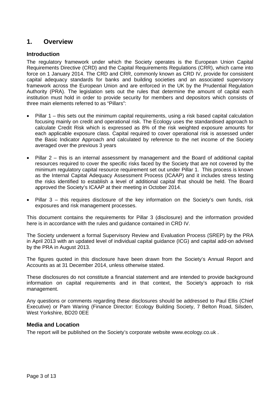### **1. Overview**

#### **Introduction**

The regulatory framework under which the Society operates is the European Union Capital Requirements Directive (CRD) and the Capital Requirements Regulations (CRR), which came into force on 1 January 2014. The CRD and CRR, commonly known as CRD IV, provide for consistent capital adequacy standards for banks and building societies and an associated supervisory framework across the European Union and are enforced in the UK by the Prudential Regulation Authority (PRA). The legislation sets out the rules that determine the amount of capital each institution must hold in order to provide security for members and depositors which consists of three main elements referred to as "Pillars":

- Pillar 1 this sets out the minimum capital requirements, using a risk based capital calculation focusing mainly on credit and operational risk. The Ecology uses the standardised approach to calculate Credit Risk which is expressed as 8% of the risk weighted exposure amounts for each applicable exposure class. Capital required to cover operational risk is assessed under the Basic Indicator Approach and calculated by reference to the net income of the Society averaged over the previous 3 years
- Pillar 2 this is an internal assessment by management and the Board of additional capital resources required to cover the specific risks faced by the Society that are not covered by the minimum regulatory capital resource requirement set out under Pillar 1. This process is known as the Internal Capital Adequacy Assessment Process (ICAAP) and it includes stress testing the risks identified to establish a level of additional capital that should be held. The Board approved the Society's ICAAP at their meeting in October 2014.
- Pillar 3 this requires disclosure of the key information on the Society's own funds, risk exposures and risk management processes.

This document contains the requirements for Pillar 3 (disclosure) and the information provided here is in accordance with the rules and guidance contained in CRD IV.

The Society underwent a formal Supervisory Review and Evaluation Process (SREP) by the PRA in April 2013 with an updated level of individual capital guidance (ICG) and capital add-on advised by the PRA in August 2013.

The figures quoted in this disclosure have been drawn from the Society's Annual Report and Accounts as at 31 December 2014, unless otherwise stated.

These disclosures do not constitute a financial statement and are intended to provide background information on capital requirements and in that context, the Society's approach to risk management.

Any questions or comments regarding these disclosures should be addressed to Paul Ellis (Chief Executive) or Pam Waring (Finance Director: Ecology Building Society, 7 Belton Road, Silsden, West Yorkshire, BD20 0EE

#### **Media and Location**

The report will be published on the Society's corporate website www.ecology.co.uk .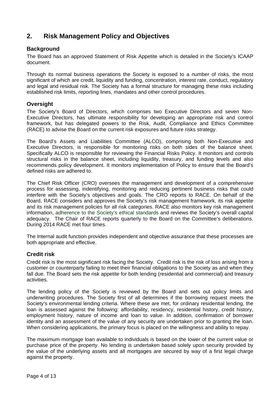## **2. Risk Management Policy and Objectives**

#### **Background**

The Board has an approved Statement of Risk Appetite which is detailed in the Society's ICAAP document.

Through its normal business operations the Society is exposed to a number of risks, the most significant of which are credit, liquidity and funding, concentration, interest rate, conduct, regulatory and legal and residual risk. The Society has a formal structure for managing these risks including established risk limits, reporting lines, mandates and other control procedures.

#### **Oversight**

The Society's Board of Directors, which comprises two Executive Directors and seven Non-Executive Directors, has ultimate responsibility for developing an appropriate risk and control framework, but has delegated powers to the Risk, Audit, Compliance and Ethics Committee (RACE) to advise the Board on the current risk exposures and future risks strategy.

The Board's Assets and Liabilities Committee (ALCO), comprising both Non-Executive and Executive Directors, is responsible for monitoring risks on both sides of the balance sheet. Specifically ALCO is responsible for reviewing the Financial Risks Policy. It monitors and controls structural risks in the balance sheet, including liquidity, treasury, and funding levels and also recommends policy development. It monitors implementation of Policy to ensure that the Board's defined risks are adhered to.

The Chief Risk Officer (CRO) oversees the management and development of a comprehensive process for assessing, indentifying, monitoring and reducing pertinent business risks that could interfere with the Society's objectives and goals. The CRO reports to RACE. On behalf of the Board, RACE considers and approves the Society's risk management framework, its risk appetite and its risk management policies for all risk categories. RACE also monitors key risk management information, adherence to the Society's ethical standards and reviews the Society's overall capital adequacy. The Chair of RACE reports quarterly to the Board on the Committee's deliberations. During 2014 RACE met four times.

The Internal audit function provides independent and objective assurance that these processes are both appropriate and effective.

#### **Credit risk**

Credit risk is the most significant risk facing the Society. Credit risk is the risk of loss arising from a customer or counterparty failing to meet their financial obligations to the Society as and when they fall due. The Board sets the risk appetite for both lending (residential and commercial) and treasury activities.

The lending policy of the Society is reviewed by the Board and sets out policy limits and underwriting procedures. The Society first of all determines if the borrowing request meets the Society's environmental lending criteria. Where these are met, for ordinary residential lending, the loan is assessed against the following: affordability, residency, residential history, credit history, employment history, nature of income and loan to value. In addition, confirmation of borrower identity and an assessment of the value of any security are undertaken prior to granting the loan. When considering applications, the primary focus is placed on the willingness and ability to repay.

The maximum mortgage loan available to individuals is based on the lower of the current value or purchase price of the property. No lending is undertaken based solely upon security provided by the value of the underlying assets and all mortgages are secured by way of a first legal charge against the property.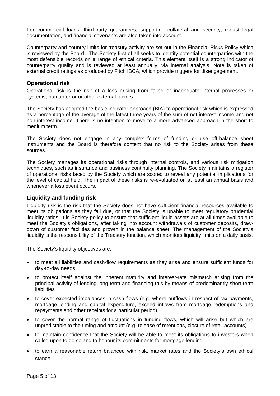For commercial loans, third-party guarantees, supporting collateral and security, robust legal documentation, and financial covenants are also taken into account.

Counterparty and country limits for treasury activity are set out in the Financial Risks Policy which is reviewed by the Board. The Society first of all seeks to identify potential counterparties with the most defensible records on a range of ethical criteria. This element itself is a strong indicator of counterparty quality and is reviewed at least annually, via internal analysis. Note is taken of external credit ratings as produced by Fitch IBCA, which provide triggers for disengagement.

#### **Operational risk**

Operational risk is the risk of a loss arising from failed or inadequate internal processes or systems, human error or other external factors.

The Society has adopted the basic indicator approach (BIA) to operational risk which is expressed as a percentage of the average of the latest three years of the sum of net interest income and net non-interest income. There is no intention to move to a more advanced approach in the short to medium term.

The Society does not engage in any complex forms of funding or use off-balance sheet instruments and the Board is therefore content that no risk to the Society arises from these sources.

The Society manages its operational risks through internal controls, and various risk mitigation techniques, such as insurance and business continuity planning. The Society maintains a register of operational risks faced by the Society which are scored to reveal any potential implications for the level of capital held. The impact of these risks is re-evaluated on at least an annual basis and whenever a loss event occurs.

#### **Liquidity and funding risk**

Liquidity risk is the risk that the Society does not have sufficient financial resources available to meet its obligations as they fall due, or that the Society is unable to meet regulatory prudential liquidity ratios. It is Society policy to ensure that sufficient liquid assets are at all times available to meet the Society's obligations, after taking into account withdrawals of customer deposits, drawdown of customer facilities and growth in the balance sheet. The management of the Society's liquidity is the responsibility of the Treasury function, which monitors liquidity limits on a daily basis.

The Society's liquidity objectives are:

- to meet all liabilities and cash-flow requirements as they arise and ensure sufficient funds for day-to-day needs
- to protect itself against the inherent maturity and interest-rate mismatch arising from the principal activity of lending long-term and financing this by means of predominantly short-term liabilities
- to cover expected imbalances in cash flows (e.g. where outflows in respect of tax payments, mortgage lending and capital expenditure, exceed inflows from mortgage redemptions and repayments and other receipts for a particular period)
- to cover the normal range of fluctuations in funding flows, which will arise but which are unpredictable to the timing and amount (e.g. release of retentions, closure of retail accounts)
- to maintain confidence that the Society will be able to meet its obligations to investors when called upon to do so and to honour its commitments for mortgage lending
- to earn a reasonable return balanced with risk, market rates and the Society's own ethical stance.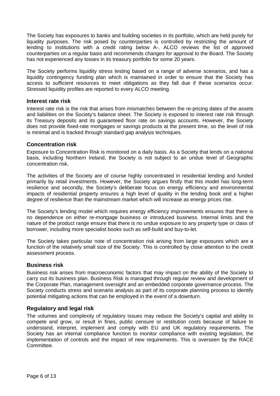The Society has exposures to banks and building societies in its portfolio, which are held purely for liquidity purposes. The risk posed by counterparties is controlled by restricting the amount of lending to institutions with a credit rating below A-. ALCO reviews the list of approved counterparties on a regular basis and recommends changes for approval to the Board. The Society has not experienced any losses in its treasury portfolio for some 20 years.

The Society performs liquidity stress testing based on a range of adverse scenarios, and has a liquidity contingency funding plan which is maintained in order to ensure that the Society has access to sufficient resources to meet obligations as they fall due if these scenarios occur. Stressed liquidity profiles are reported to every ALCO meeting.

#### **Interest rate risk**

Interest rate risk is the risk that arises from mismatches between the re-pricing dates of the assets and liabilities on the Society's balance sheet. The Society is exposed to interest rate risk through its Treasury deposits and its guaranteed floor rate on savings accounts. However, the Society does not provide fixed-rate mortgages or savings products at the present time, so the level of risk is minimal and is tracked through standard gap analysis techniques.

#### **Concentration risk**

Exposure to Concentration Risk is monitored on a daily basis. As a Society that lends on a national basis, including Northern Ireland, the Society is not subject to an undue level of Geographic concentration risk.

The activities of the Society are of course highly concentrated in residential lending and funded primarily by retail investments. However, the Society argues firstly that this model has long-term resilience and secondly, the Society's deliberate focus on energy efficiency and environmental impacts of residential property ensures a high level of quality in the lending book and a higher degree of resilience than the mainstream market which will increase as energy prices rise.

The Society's lending model which requires energy efficiency improvements ensures that there is no dependence on either re-mortgage business or introduced business. Internal limits and the nature of the product range ensure that there is no undue exposure to any property type or class of borrower, including more specialist books such as self-build and buy-to-let.

The Society takes particular note of concentration risk arising from large exposures which are a function of the relatively small size of the Society. This is controlled by close attention to the credit assessment process.

#### **Business risk**

Business risk arises from macroeconomic factors that may impact on the ability of the Society to carry out its business plan. Business Risk is managed through regular review and development of the Corporate Plan, management oversight and an embedded corporate governance process. The Society conducts stress and scenario analysis as part of its corporate planning process to identify potential mitigating actions that can be employed in the event of a downturn.

#### **Regulatory and legal risk**

The volumes and complexity of regulatory issues may reduce the Society's capital and ability to compete and grow, or result in fines, public censure or restitution costs because of failure to understand, interpret, implement and comply with EU and UK regulatory requirements. The Society has an internal compliance function to monitor compliance with existing legislation, the implementation of controls and the impact of new requirements. This is overseen by the RACE Committee.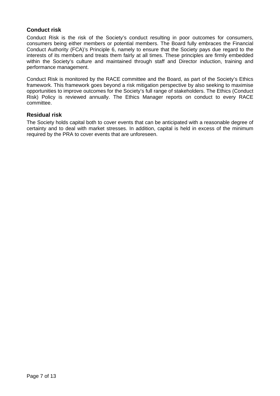#### **Conduct risk**

Conduct Risk is the risk of the Society's conduct resulting in poor outcomes for consumers, consumers being either members or potential members. The Board fully embraces the Financial Conduct Authority (FCA)'s Principle 6, namely to ensure that the Society pays due regard to the interests of its members and treats them fairly at all times. These principles are firmly embedded within the Society's culture and maintained through staff and Director induction, training and performance management.

Conduct Risk is monitored by the RACE committee and the Board, as part of the Society's Ethics framework. This framework goes beyond a risk mitigation perspective by also seeking to maximise opportunities to improve outcomes for the Society's full range of stakeholders. The Ethics (Conduct Risk) Policy is reviewed annually. The Ethics Manager reports on conduct to every RACE committee.

#### **Residual risk**

The Society holds capital both to cover events that can be anticipated with a reasonable degree of certainty and to deal with market stresses. In addition, capital is held in excess of the minimum required by the PRA to cover events that are unforeseen.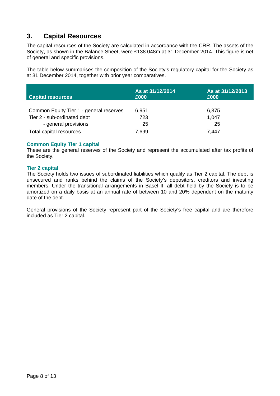## **3. Capital Resources**

The capital resources of the Society are calculated in accordance with the CRR. The assets of the Society, as shown in the Balance Sheet, were £138.048m at 31 December 2014. This figure is net of general and specific provisions.

The table below summarises the composition of the Society's regulatory capital for the Society as at 31 December 2014, together with prior year comparatives.

| <b>Capital resources</b>                | As at 31/12/2014<br>£000 | As at 31/12/2013<br>£000 |
|-----------------------------------------|--------------------------|--------------------------|
| Common Equity Tier 1 - general reserves | 6,951                    | 6,375                    |
| Tier 2 - sub-ordinated debt             | 723                      | 1,047                    |
| - general provisions                    | 25                       | 25                       |
| Total capital resources                 | 7,699                    | 7.447                    |

#### **Common Equity Tier 1 capital**

These are the general reserves of the Society and represent the accumulated after tax profits of the Society.

#### **Tier 2 capital**

The Society holds two issues of subordinated liabilities which qualify as Tier 2 capital. The debt is unsecured and ranks behind the claims of the Society's depositors, creditors and investing members. Under the transitional arrangements in Basel III all debt held by the Society is to be amortized on a daily basis at an annual rate of between 10 and 20% dependent on the maturity date of the debt.

General provisions of the Society represent part of the Society's free capital and are therefore included as Tier 2 capital.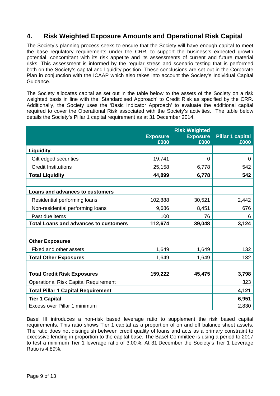## **4. Risk Weighted Exposure Amounts and Operational Risk Capital**

The Society's planning process seeks to ensure that the Society will have enough capital to meet the base regulatory requirements under the CRR, to support the business's expected growth potential, concomitant with its risk appetite and its assessments of current and future material risks. This assessment is informed by the regular stress and scenario testing that is performed both on the Society's capital and liquidity position. These conclusions are set out in the Corporate Plan in conjunction with the ICAAP which also takes into account the Society's Individual Capital Guidance.

The Society allocates capital as set out in the table below to the assets of the Society on a risk weighted basis in line with the 'Standardised Approach' to Credit Risk as specified by the CRR. Additionally, the Society uses the 'Basic Indicator Approach' to evaluate the additional capital required to cover the Operational Risk associated with the Society's activities. The table below details the Society's Pillar 1 capital requirement as at 31 December 2014.

|                                              | <b>Exposure</b> | <b>Risk Weighted</b><br><b>Exposure</b> | <b>Pillar 1 capital</b> |
|----------------------------------------------|-----------------|-----------------------------------------|-------------------------|
|                                              | £000            | £000                                    | £000                    |
| Liquidity                                    |                 |                                         |                         |
| Gilt edged securities                        | 19,741          | 0                                       | 0                       |
| <b>Credit Institutions</b>                   | 25,158          | 6,778                                   | 542                     |
| <b>Total Liquidity</b>                       | 44,899          | 6,778                                   | 542                     |
|                                              |                 |                                         |                         |
| Loans and advances to customers              |                 |                                         |                         |
| Residential performing loans                 | 102,888         | 30,521                                  | 2,442                   |
| Non-residential performing loans             | 9,686           | 8,451                                   | 676                     |
| Past due items                               | 100             | 76                                      | 6                       |
| <b>Total Loans and advances to customers</b> | 112,674         | 39,048                                  | 3,124                   |
|                                              |                 |                                         |                         |
| <b>Other Exposures</b>                       |                 |                                         |                         |
| Fixed and other assets                       | 1,649           | 1,649                                   | 132                     |
| <b>Total Other Exposures</b>                 | 1,649           | 1,649                                   | 132                     |
|                                              |                 |                                         |                         |
| <b>Total Credit Risk Exposures</b>           | 159,222         | 45,475                                  | 3,798                   |
| <b>Operational Risk Capital Requirement</b>  |                 |                                         | 323                     |
| <b>Total Pillar 1 Capital Requirement</b>    |                 |                                         | 4,121                   |
| <b>Tier 1 Capital</b>                        |                 |                                         | 6,951                   |
| Excess over Pillar 1 minimum                 |                 |                                         | 2,830                   |

Basel III introduces a non-risk based leverage ratio to supplement the risk based capital requirements. This ratio shows Tier 1 capital as a proportion of on and off balance sheet assets. The ratio does not distinguish between credit quality of loans and acts as a primary constraint to excessive lending in proportion to the capital base. The Basel Committee is using a period to 2017 to test a minimum Tier 1 leverage ratio of 3.00%. At 31 December the Society's Tier 1 Leverage Ratio is 4.89%.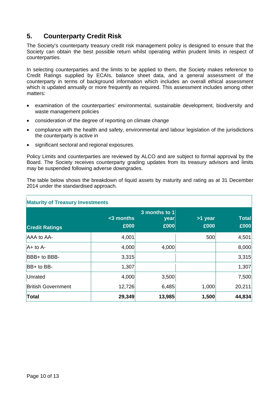## **5. Counterparty Credit Risk**

The Society's counterparty treasury credit risk management policy is designed to ensure that the Society can obtain the best possible return whilst operating within prudent limits in respect of counterparties.

In selecting counterparties and the limits to be applied to them, the Society makes reference to Credit Ratings supplied by ECAIs, balance sheet data, and a general assessment of the counterparty in terms of background information which includes an overall ethical assessment which is updated annually or more frequently as required. This assessment includes among other matters:

- examination of the counterparties' environmental, sustainable development, biodiversity and waste management policies
- consideration of the degree of reporting on climate change
- compliance with the health and safety, environmental and labour legislation of the jurisdictions the counterparty is active in
- significant sectoral and regional exposures.

Policy Limits and counterparties are reviewed by ALCO and are subject to formal approval by the Board. The Society receives counterparty grading updates from its treasury advisors and limits may be suspended following adverse downgrades.

The table below shows the breakdown of liquid assets by maturity and rating as at 31 December 2014 under the standardised approach.

| <b>Maturity of Treasury Investments</b> |                      |                               |                 |                      |  |
|-----------------------------------------|----------------------|-------------------------------|-----------------|----------------------|--|
| <b>Credit Ratings</b>                   | $<$ 3 months<br>£000 | 3 months to 1<br>year<br>£000 | >1 year<br>£000 | <b>Total</b><br>£000 |  |
| AAA to AA-                              | 4,001                |                               | 500             | 4,501                |  |
| $A+$ to A-                              | 4,000                | 4,000                         |                 | 8,000                |  |
| BBB+ to BBB-                            | 3,315                |                               |                 | 3,315                |  |
| BB+ to BB-                              | 1,307                |                               |                 | 1,307                |  |
| Unrated                                 | 4,000                | 3,500                         |                 | 7,500                |  |
| <b>British Government</b>               | 12,726               | 6,485                         | 1,000           | 20,211               |  |
| <b>Total</b>                            | 29,349               | 13,985                        | 1,500           | 44,834               |  |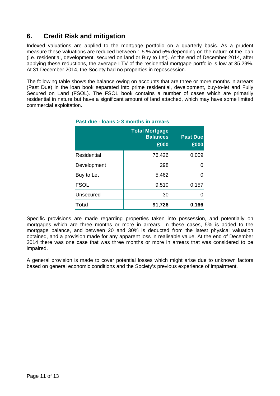## **6. Credit Risk and mitigation**

Indexed valuations are applied to the mortgage portfolio on a quarterly basis. As a prudent measure these valuations are reduced between 1.5 % and 5% depending on the nature of the loan (i.e. residential, development, secured on land or Buy to Let). At the end of December 2014, after applying these reductions, the average LTV of the residential mortgage portfolio is low at 35.29%. At 31 December 2014, the Society had no properties in repossession.

The following table shows the balance owing on accounts that are three or more months in arrears (Past Due) in the loan book separated into prime residential, development, buy-to-let and Fully Secured on Land (FSOL). The FSOL book contains a number of cases which are primarily residential in nature but have a significant amount of land attached, which may have some limited commercial exploitation.

| Past due - Joans > 3 months in arrears |                                                  |                         |  |  |
|----------------------------------------|--------------------------------------------------|-------------------------|--|--|
|                                        | <b>Total Mortgage</b><br><b>Balances</b><br>£000 | <b>Past Due</b><br>£000 |  |  |
| Residential                            | 76,426                                           | 0,009                   |  |  |
| Development                            | 298                                              |                         |  |  |
| Buy to Let                             | 5,462                                            |                         |  |  |
| <b>FSOL</b>                            | 9,510                                            | 0,157                   |  |  |
| Unsecured                              | 30                                               |                         |  |  |
| <b>Total</b>                           | 91,726                                           | 0,166                   |  |  |

Specific provisions are made regarding properties taken into possession, and potentially on mortgages which are three months or more in arrears. In these cases, 5% is added to the mortgage balance, and between 20 and 30% is deducted from the latest physical valuation obtained, and a provision made for any apparent loss in realisable value. At the end of December 2014 there was one case that was three months or more in arrears that was considered to be impaired.

A general provision is made to cover potential losses which might arise due to unknown factors based on general economic conditions and the Society's previous experience of impairment.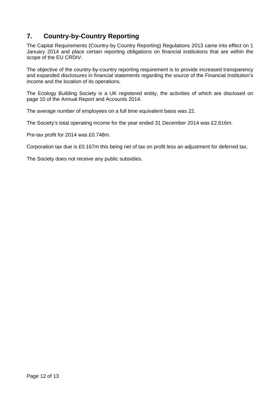## **7. Country-by-Country Reporting**

The Capital Requirements (Country-by Country Reporting) Regulations 2013 came into effect on 1 January 2014 and place certain reporting obligations on financial institutions that are within the scope of the EU CRDIV.

The objective of the country-by-country reporting requirement is to provide increased transparency and expanded disclosures in financial statements regarding the source of the Financial Institution's income and the location of its operations.

The Ecology Building Society is a UK registered entity, the activities of which are disclosed on page 10 of the Annual Report and Accounts 2014.

The average number of employees on a full time equivalent basis was 22.

The Society's total operating income for the year ended 31 December 2014 was £2.616m.

Pre-tax profit for 2014 was £0.748m.

Corporation tax due is £0.167m this being net of tax on profit less an adjustment for deferred tax.

The Society does not receive any public subsidies.